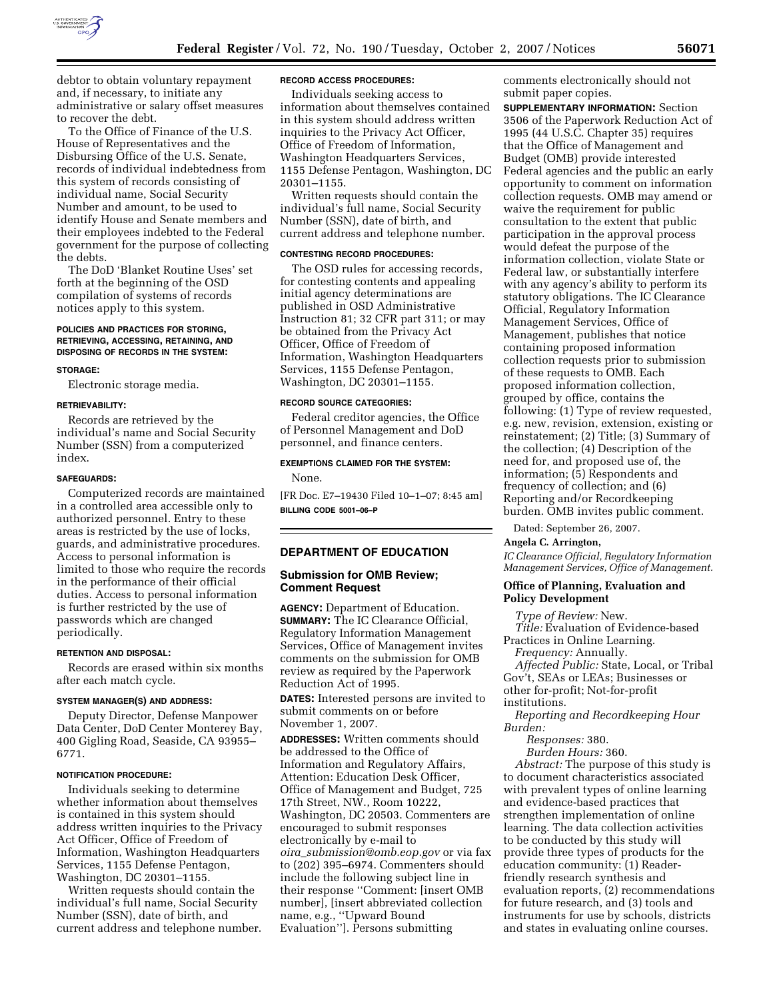

debtor to obtain voluntary repayment and, if necessary, to initiate any administrative or salary offset measures to recover the debt.

To the Office of Finance of the U.S. House of Representatives and the Disbursing Office of the U.S. Senate, records of individual indebtedness from this system of records consisting of individual name, Social Security Number and amount, to be used to identify House and Senate members and their employees indebted to the Federal government for the purpose of collecting the debts.

The DoD 'Blanket Routine Uses' set forth at the beginning of the OSD compilation of systems of records notices apply to this system.

# **POLICIES AND PRACTICES FOR STORING, RETRIEVING, ACCESSING, RETAINING, AND DISPOSING OF RECORDS IN THE SYSTEM:**

#### **STORAGE:**

Electronic storage media.

#### **RETRIEVABILITY:**

Records are retrieved by the individual's name and Social Security Number (SSN) from a computerized index.

### **SAFEGUARDS:**

Computerized records are maintained in a controlled area accessible only to authorized personnel. Entry to these areas is restricted by the use of locks, guards, and administrative procedures. Access to personal information is limited to those who require the records in the performance of their official duties. Access to personal information is further restricted by the use of passwords which are changed periodically.

### **RETENTION AND DISPOSAL:**

Records are erased within six months after each match cycle.

### **SYSTEM MANAGER(S) AND ADDRESS:**

Deputy Director, Defense Manpower Data Center, DoD Center Monterey Bay, 400 Gigling Road, Seaside, CA 93955– 6771.

#### **NOTIFICATION PROCEDURE:**

Individuals seeking to determine whether information about themselves is contained in this system should address written inquiries to the Privacy Act Officer, Office of Freedom of Information, Washington Headquarters Services, 1155 Defense Pentagon, Washington, DC 20301–1155.

Written requests should contain the individual's full name, Social Security Number (SSN), date of birth, and current address and telephone number.

## **RECORD ACCESS PROCEDURES:**

Individuals seeking access to information about themselves contained in this system should address written inquiries to the Privacy Act Officer, Office of Freedom of Information, Washington Headquarters Services, 1155 Defense Pentagon, Washington, DC 20301–1155.

Written requests should contain the individual's full name, Social Security Number (SSN), date of birth, and current address and telephone number.

#### **CONTESTING RECORD PROCEDURES:**

The OSD rules for accessing records, for contesting contents and appealing initial agency determinations are published in OSD Administrative Instruction 81; 32 CFR part 311; or may be obtained from the Privacy Act Officer, Office of Freedom of Information, Washington Headquarters Services, 1155 Defense Pentagon, Washington, DC 20301–1155.

### **RECORD SOURCE CATEGORIES:**

Federal creditor agencies, the Office of Personnel Management and DoD personnel, and finance centers.

## **EXEMPTIONS CLAIMED FOR THE SYSTEM:**

None.

[FR Doc. E7–19430 Filed 10–1–07; 8:45 am] **BILLING CODE 5001–06–P** 

## **DEPARTMENT OF EDUCATION**

# **Submission for OMB Review; Comment Request**

**AGENCY:** Department of Education. **SUMMARY:** The IC Clearance Official, Regulatory Information Management Services, Office of Management invites comments on the submission for OMB review as required by the Paperwork Reduction Act of 1995.

**DATES:** Interested persons are invited to submit comments on or before November 1, 2007.

**ADDRESSES:** Written comments should be addressed to the Office of Information and Regulatory Affairs, Attention: Education Desk Officer, Office of Management and Budget, 725 17th Street, NW., Room 10222, Washington, DC 20503. Commenters are encouraged to submit responses electronically by e-mail to *oira*\_*submission@omb.eop.gov* or via fax to (202) 395–6974. Commenters should include the following subject line in their response ''Comment: [insert OMB number], [insert abbreviated collection name, e.g., ''Upward Bound Evaluation'']. Persons submitting

comments electronically should not submit paper copies.

**SUPPLEMENTARY INFORMATION:** Section 3506 of the Paperwork Reduction Act of 1995 (44 U.S.C. Chapter 35) requires that the Office of Management and Budget (OMB) provide interested Federal agencies and the public an early opportunity to comment on information collection requests. OMB may amend or waive the requirement for public consultation to the extent that public participation in the approval process would defeat the purpose of the information collection, violate State or Federal law, or substantially interfere with any agency's ability to perform its statutory obligations. The IC Clearance Official, Regulatory Information Management Services, Office of Management, publishes that notice containing proposed information collection requests prior to submission of these requests to OMB. Each proposed information collection, grouped by office, contains the following: (1) Type of review requested, e.g. new, revision, extension, existing or reinstatement; (2) Title; (3) Summary of the collection; (4) Description of the need for, and proposed use of, the information; (5) Respondents and frequency of collection; and (6) Reporting and/or Recordkeeping burden. OMB invites public comment.

Dated: September 26, 2007.

#### **Angela C. Arrington,**

*IC Clearance Official, Regulatory Information Management Services, Office of Management.* 

# **Office of Planning, Evaluation and Policy Development**

*Type of Review:* New.

- *Title:* Evaluation of Evidence-based Practices in Online Learning.
- *Frequency:* Annually.

*Affected Public:* State, Local, or Tribal Gov't, SEAs or LEAs; Businesses or other for-profit; Not-for-profit institutions.

*Reporting and Recordkeeping Hour Burden:* 

*Responses:* 380.

*Burden Hours:* 360.

*Abstract:* The purpose of this study is to document characteristics associated with prevalent types of online learning and evidence-based practices that strengthen implementation of online learning. The data collection activities to be conducted by this study will provide three types of products for the education community: (1) Readerfriendly research synthesis and evaluation reports, (2) recommendations for future research, and (3) tools and instruments for use by schools, districts and states in evaluating online courses.